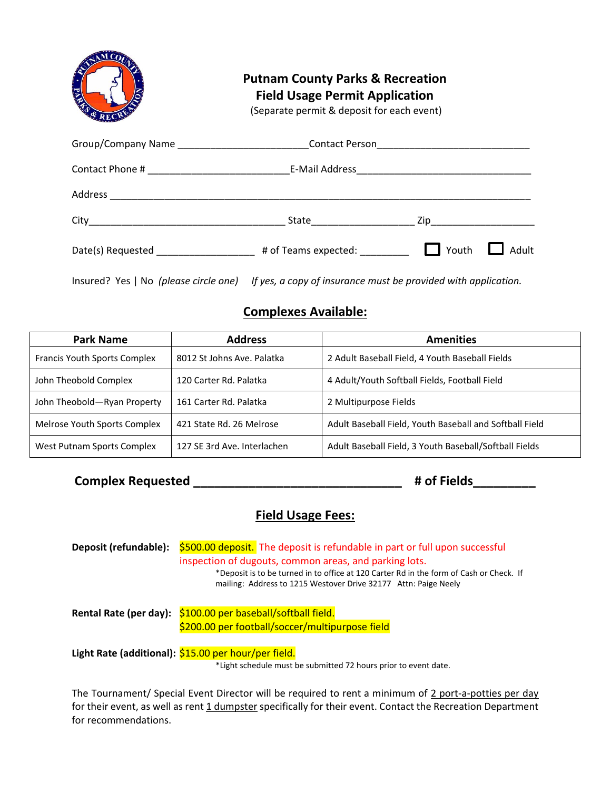| <b>PAY</b> | <b>Putnam County Parks &amp; Recreation</b><br><b>Field Usage Permit Application</b><br>(Separate permit & deposit for each event) |       |       |  |
|------------|------------------------------------------------------------------------------------------------------------------------------------|-------|-------|--|
|            |                                                                                                                                    |       |       |  |
|            |                                                                                                                                    |       |       |  |
|            |                                                                                                                                    |       |       |  |
|            |                                                                                                                                    |       |       |  |
|            |                                                                                                                                    | Youth | Adult |  |

Insured? Yes | No *(please circle one) If yes, a copy of insurance must be provided with application.*

# **Complexes Available:**

| <b>Park Name</b>                    | <b>Address</b>              | <b>Amenities</b>                                        |
|-------------------------------------|-----------------------------|---------------------------------------------------------|
| <b>Francis Youth Sports Complex</b> | 8012 St Johns Ave. Palatka  | 2 Adult Baseball Field, 4 Youth Baseball Fields         |
| John Theobold Complex               | 120 Carter Rd. Palatka      | 4 Adult/Youth Softball Fields, Football Field           |
| John Theobold-Ryan Property         | 161 Carter Rd. Palatka      | 2 Multipurpose Fields                                   |
| Melrose Youth Sports Complex        | 421 State Rd. 26 Melrose    | Adult Baseball Field, Youth Baseball and Softball Field |
| West Putnam Sports Complex          | 127 SE 3rd Ave. Interlachen | Adult Baseball Field, 3 Youth Baseball/Softball Fields  |

**Complex Requested \_\_\_\_\_\_\_\_\_\_\_\_\_\_\_\_\_\_\_\_\_\_\_\_\_\_\_\_\_\_ # of Fields\_\_\_\_\_\_\_\_\_**

## **Field Usage Fees:**

**Deposit (refundable):** \$500.00 deposit. The deposit is refundable in part or full upon successful inspection of dugouts, common areas, and parking lots. \*Deposit is to be turned in to office at 120 Carter Rd in the form of Cash or Check. If mailing: Address to 1215 Westover Drive 32177 Attn: Paige Neely **Rental Rate (per day):** \$100.00 per baseball/softball field. \$200.00 per football/soccer/multipurpose field **Light Rate (additional):** \$15.00 per hour/per field. \*Light schedule must be submitted 72 hours prior to event date.

The Tournament/ Special Event Director will be required to rent a minimum of 2 port-a-potties per day for their event, as well as rent 1 dumpster specifically for their event. Contact the Recreation Department for recommendations.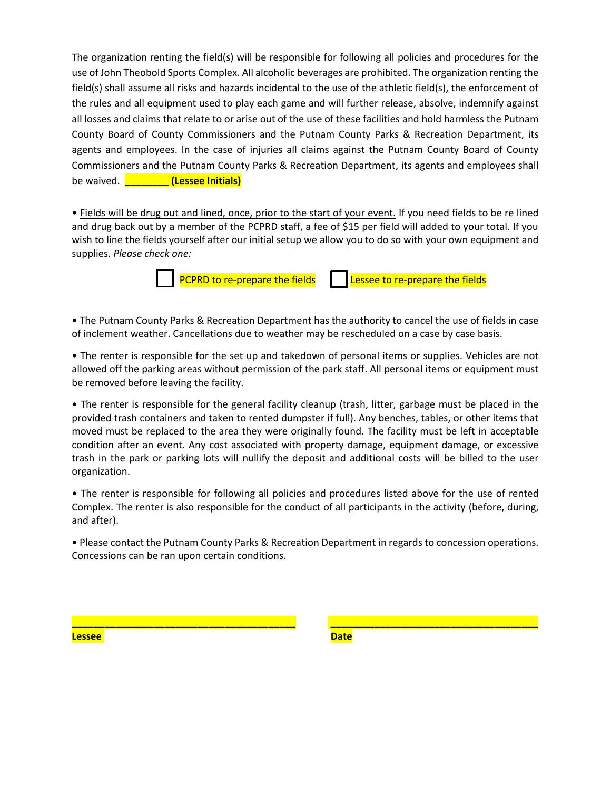The organization renting the field(s) will be responsible for following all policies and procedures for the use of John Theobold Sports Complex. All alcoholic beverages are prohibited. The organization renting the field(s) shall assume all risks and hazards incidental to the use of the athletic field(s), the enforcement of the rules and all equipment used to play each game and will further release, absolve, indemnify against all losses and claims that relate to or arise out of the use of these facilities and hold harmless the Putnam County Board of County Commissioners and the Putnam County Parks & Recreation Department, its agents and employees. In the case of injuries all claims against the Putnam County Board of County Commissioners and the Putnam County Parks & Recreation Department, its agents and employees shall be waived. **\_\_\_\_\_\_\_\_ (Lessee Initials)**

• Fields will be drug out and lined, once, prior to the start of your event. If you need fields to be re lined and drug back out by a member of the PCPRD staff, a fee of \$15 per field will added to your total. If you wish to line the fields yourself after our initial setup we allow you to do so with your own equipment and supplies. *Please check one:*

PCPRD to re-prepare the fields  $\|$  Lessee to re-prepare the fields

• The Putnam County Parks & Recreation Department has the authority to cancel the use of fields in case of inclement weather. Cancellations due to weather may be rescheduled on a case by case basis.

• The renter is responsible for the set up and takedown of personal items or supplies. Vehicles are not allowed off the parking areas without permission of the park staff. All personal items or equipment must be removed before leaving the facility.

• The renter is responsible for the general facility cleanup (trash, litter, garbage must be placed in the provided trash containers and taken to rented dumpster if full). Any benches, tables, or other items that moved must be replaced to the area they were originally found. The facility must be left in acceptable condition after an event. Any cost associated with property damage, equipment damage, or excessive trash in the park or parking lots will nullify the deposit and additional costs will be billed to the user organization.

• The renter is responsible for following all policies and procedures listed above for the use of rented Complex. The renter is also responsible for the conduct of all participants in the activity (before, during, and after).

• Please contact the Putnam County Parks & Recreation Department in regards to concession operations. Concessions can be ran upon certain conditions.

**\_\_\_\_\_\_\_\_\_\_\_\_\_\_\_\_\_\_\_\_\_\_\_\_\_\_\_\_\_\_\_\_\_\_\_\_\_\_\_\_\_ \_\_\_\_\_\_\_\_\_\_\_\_\_\_\_\_\_\_\_\_\_\_\_\_\_\_\_\_\_\_\_\_\_\_\_\_\_\_**

**Lessee** Date Date Date Date Date Date Date